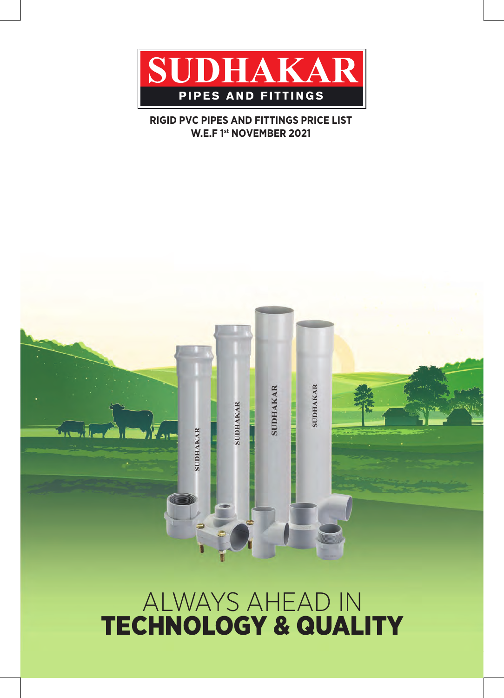

# **RIGID PVC PIPES AND FITTINGS PRICE LIST W.E.F 1st NOVEMBER 2021**



# ALWAYS AHEAD IN TECHNOLOGY & QUALITY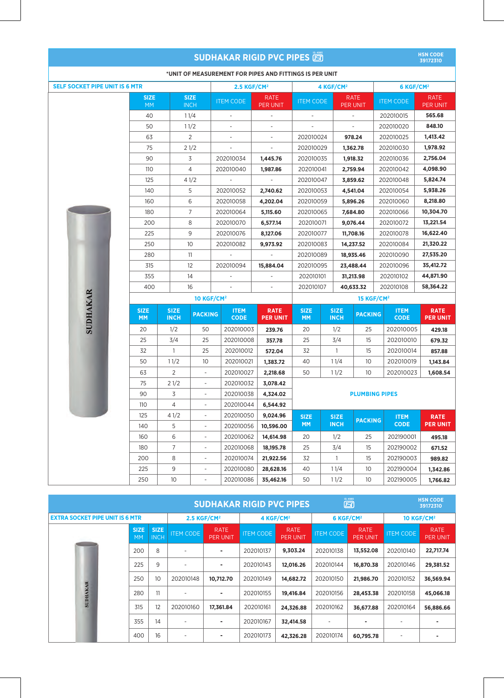| <b>SUDHAKAR RIGID PVC PIPES</b>                         |                          |                            |                              |                            |                                |                              |                            | <b>HSN CODE</b><br>39172310    |                            |                                |
|---------------------------------------------------------|--------------------------|----------------------------|------------------------------|----------------------------|--------------------------------|------------------------------|----------------------------|--------------------------------|----------------------------|--------------------------------|
| *UNIT OF MEASUREMENT FOR PIPES AND FITTINGS IS PER UNIT |                          |                            |                              |                            |                                |                              |                            |                                |                            |                                |
| <b>SELF SOCKET PIPE UNIT IS 6 MTR</b>                   |                          |                            |                              | 2.5 KGF/CM <sup>2</sup>    |                                | 4 KGF/CM <sup>2</sup>        |                            |                                | 6 KGF/CM <sup>2</sup>      |                                |
|                                                         | <b>SIZE</b><br><b>MM</b> |                            | <b>SIZE</b><br><b>INCH</b>   | <b>ITEM CODE</b>           | <b>RATE</b><br><b>PER UNIT</b> | <b>ITEM CODE</b>             |                            | <b>RATE</b><br><b>PER UNIT</b> | <b>ITEM CODE</b>           | <b>RATE</b><br><b>PER UNIT</b> |
|                                                         | 40                       |                            | 11/4                         | ÷,                         | $\overline{\phantom{a}}$       | $\overline{\phantom{a}}$     |                            | $\overline{\phantom{a}}$       | 202010015                  | 565.68                         |
|                                                         | 50                       |                            | 11/2                         |                            |                                |                              |                            |                                | 202010020                  | 848.10                         |
|                                                         | 63                       |                            | 2                            |                            | ÷,                             | 202010024                    |                            | 978.24                         | 202010025                  | 1,413.42                       |
|                                                         | 75                       |                            | 21/2                         | $\overline{a}$             | $\overline{\phantom{a}}$       | 202010029                    |                            | 1,362.78                       | 202010030                  | 1,978.92                       |
|                                                         | 90                       |                            | 3                            | 202010034                  | 1,445.76                       | 202010035                    |                            | 1,918.32                       | 202010036                  | 2,756.04                       |
|                                                         | 110                      |                            | 4                            | 202010040                  | 1,987.86                       | 202010041                    |                            | 2,759.94                       | 202010042                  | 4,098.90                       |
|                                                         | 125                      |                            | 41/2                         |                            |                                | 202010047                    |                            | 3,859.62                       | 202010048                  | 5,824.74                       |
|                                                         | 140                      |                            | 5                            | 202010052                  | 2,740.62                       | 202010053                    |                            | 4,541.04                       | 202010054                  | 5,938.26                       |
|                                                         | 160                      |                            | 6                            | 202010058                  | 4,202.04                       | 202010059                    |                            | 5,896.26                       | 202010060                  | 8,218.80                       |
|                                                         | 180                      |                            | 7                            | 202010064                  | 5,115.60                       | 202010065                    |                            | 7,684.80                       | 202010066                  | 10,304.70                      |
|                                                         | 200                      |                            | 8                            | 202010070                  | 6,577.14                       | 202010071                    |                            | 9,076.44                       | 202010072                  | 13,221.54                      |
|                                                         | 225                      |                            | 9                            | 202010076                  | 8,127.06                       | 202010077                    |                            | 11,708.16                      | 202010078                  | 16,622.40                      |
|                                                         | 250                      |                            | 10                           | 202010082                  | 9,973.92                       | 202010083                    |                            | 14,237.52                      | 202010084                  | 21,320.22                      |
|                                                         | 280                      |                            | 11                           |                            |                                | 202010089                    |                            | 18,935.46                      | 202010090                  | 27,535.20                      |
|                                                         | 315                      |                            | 12                           | 202010094                  | 15,884.04                      | 202010095                    |                            | 23,488.44                      | 202010096                  | 35,412.72                      |
|                                                         | 355                      |                            | 14                           |                            |                                | 202010101                    |                            | 31,213.98                      | 202010102                  | 44,871.90                      |
|                                                         | 400                      |                            | 16                           |                            |                                | 202010107                    |                            | 40,633.32                      | 202010108                  | 58,364.22                      |
|                                                         |                          |                            | <b>10 KGF/CM<sup>2</sup></b> |                            |                                | <b>15 KGF/CM<sup>2</sup></b> |                            |                                |                            |                                |
| <b>SUDHAKAR</b>                                         | <b>SIZE</b><br><b>MM</b> | <b>SIZE</b><br><b>INCH</b> | <b>PACKING</b>               | <b>ITEM</b><br><b>CODE</b> | <b>RATE</b><br><b>PER UNIT</b> | <b>SIZE</b><br><b>MM</b>     | <b>SIZE</b><br><b>INCH</b> | <b>PACKING</b>                 | <b>ITEM</b><br><b>CODE</b> | <b>RATE</b><br><b>PER UNIT</b> |
|                                                         | 20                       | 1/2                        | 50                           | 202010003                  | 239.76                         | 20                           | 1/2                        | 25                             | 202010005                  | 429.18                         |
|                                                         | 25                       | 3/4                        | 25                           | 202010008                  | 357.78                         | 25                           | 3/4                        | 15                             | 202010010                  | 679.32                         |
|                                                         | 32                       | $\mathbf{1}$               | 25                           | 202010012                  | 572.04                         | 32                           | $\mathbf{1}$               | 15                             | 202010014                  | 857.88                         |
|                                                         | 50                       | 11/2                       | 10                           | 202010021                  | 1,383.72                       | 40                           | 11/4                       | 10                             | 202010019                  | 1,143.84                       |
|                                                         | 63                       | $\overline{2}$             |                              | 202010027                  | 2,218.68                       | 50                           | 11/2                       | 10                             | 202010023                  | 1,608.54                       |
|                                                         | 75                       | 21/2                       |                              | 202010032                  | 3,078.42                       |                              |                            |                                |                            |                                |
|                                                         | 90                       | 3                          | $\overline{\phantom{a}}$     | 202010038                  | 4,324.02                       |                              |                            | <b>PLUMBING PIPES</b>          |                            |                                |
|                                                         | 110                      | 4                          |                              | 202010044                  | 6,544.92                       |                              |                            |                                |                            |                                |
|                                                         | 125                      | 41/2                       | $\overline{\phantom{a}}$     | 202010050                  | 9,024.96                       | <b>SIZE</b>                  | <b>SIZE</b>                | <b>PACKING</b>                 | <b>ITEM</b>                | <b>RATE</b>                    |
|                                                         | 140                      | 5                          | $\overline{\phantom{a}}$     | 202010056                  | 10,596.00                      | <b>MM</b>                    | <b>INCH</b>                |                                | <b>CODE</b>                | <b>PER UNIT</b>                |
|                                                         | 160                      | 6                          | $\overline{\phantom{a}}$     | 202010062                  | 14,614.98                      | 20                           | 1/2                        | 25                             | 202190001                  | 495.18                         |
|                                                         | 180                      | $\overline{7}$             | $\overline{\phantom{a}}$     | 202010068                  | 18,195.78                      | 25                           | 3/4                        | 15                             | 202190002                  | 671.52                         |
|                                                         | 200                      | 8                          | $\overline{\phantom{a}}$     | 202010074                  | 21,922.56                      | 32                           | 1                          | 15                             | 202190003                  | 989.82                         |
|                                                         | 225                      | 9                          | $\overline{\phantom{a}}$     | 202010080                  | 28,628.16                      | 40                           | 11/4                       | 10                             | 202190004                  | 1,342.86                       |
|                                                         | 250                      | 10                         | $\qquad \qquad \blacksquare$ | 202010086                  | 35,462.16                      | 50                           | 11/2                       | 10                             | 202190005                  | 1,766.82                       |

|                                        | <b>SUDHAKAR RIGID PVC PIPES</b> |                            |                  |                                |                  |                         |                  | $\overline{\Xi}^{\scriptscriptstyle{{\rm B55}}}$ |                          | <b>HSN CODE</b><br>39172310    |  |
|----------------------------------------|---------------------------------|----------------------------|------------------|--------------------------------|------------------|-------------------------|------------------|--------------------------------------------------|--------------------------|--------------------------------|--|
| <b>EXTRA SOCKET PIPE UNIT IS 6 MTR</b> |                                 |                            |                  | 2.5 KGF/CM <sup>2</sup>        |                  | 4 KGF/CM <sup>2</sup>   |                  | 6 KGF/CM <sup>2</sup>                            |                          | <b>10 KGF/CM<sup>2</sup></b>   |  |
|                                        | <b>SIZE</b><br><b>MM</b>        | <b>SIZE</b><br><b>INCH</b> | <b>ITEM CODE</b> | <b>RATE</b><br><b>PER UNIT</b> | <b>ITEM CODE</b> | <b>RATE</b><br>PER UNIT | <b>ITEM CODE</b> | <b>RATE</b><br><b>PER UNIT</b>                   | <b>ITEM CODE</b>         | <b>RATE</b><br><b>PER UNIT</b> |  |
|                                        | 200                             | 8                          | ۰                |                                | 202010137        | 9.303.24                | 202010138        | 13.552.08                                        | 202010140                | 22,717.74                      |  |
|                                        | 225                             | 9                          |                  |                                | 202010143        | 12,016.26               | 202010144        | 16,870.38                                        | 202010146                | 29,381.52                      |  |
|                                        | 250                             | 10                         | 202010148        | 10,712.70                      | 202010149        | 14,682.72               | 202010150        | 21,986.70                                        | 202010152                | 36,569.94                      |  |
| <b>SUDHAKAR</b>                        | 280                             | 11                         | ٠                | ۰                              | 202010155        | 19.416.84               | 202010156        | 28,453.38                                        | 202010158                | 45,066.18                      |  |
|                                        | 315                             | 12                         | 202010160        | 17,361.84                      | 202010161        | 24,326.88               | 202010162        | 36,677.88                                        | 202010164                | 56,886.66                      |  |
|                                        | 355                             | 14                         | ۰                |                                | 202010167        | 32,414.58               |                  | ٠                                                |                          |                                |  |
|                                        | 400                             | 16                         | ۰                |                                | 202010173        | 42.326.28               | 202010174        | 60,795.78                                        | $\overline{\phantom{0}}$ |                                |  |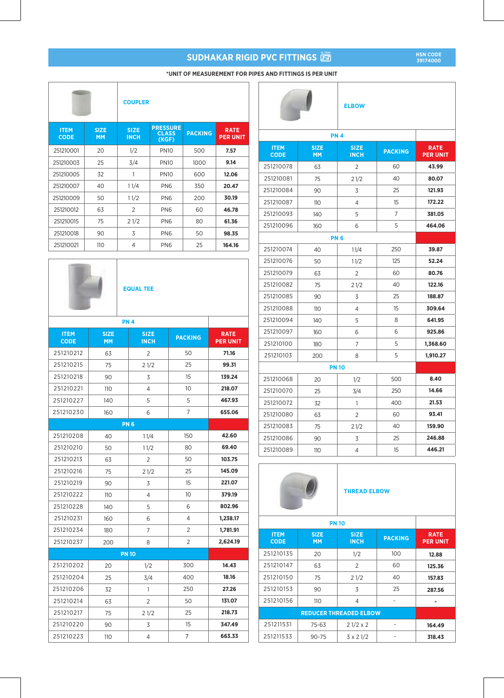**HSN CODE 39174000**

|  | *UNIT OF MEASUREMENT FOR PIPES AND FITTINGS IS PER UNIT |  |  |  |  |  |
|--|---------------------------------------------------------|--|--|--|--|--|
|  |                                                         |  |  |  |  |  |

|                            |                          | <b>COUPLER</b>             |                                          |                |                                |
|----------------------------|--------------------------|----------------------------|------------------------------------------|----------------|--------------------------------|
| <b>ITEM</b><br><b>CODE</b> | <b>SIZE</b><br><b>MM</b> | <b>SIZE</b><br><b>INCH</b> | <b>PRESSURE</b><br><b>CLASS</b><br>(KGF) | <b>PACKING</b> | <b>RATE</b><br><b>PER UNIT</b> |
| 251210001                  | 20                       | 1/2                        | <b>PN10</b>                              | 500            | 7.57                           |
| 251210003                  | 25                       | 3/4                        | <b>PN10</b>                              | 1000           | 9.14                           |
| 251210005                  | 32                       | 1                          | <b>PN10</b>                              | 600            | 12.06                          |
| 251210007                  | 40                       | 11/4                       | PN <sub>6</sub>                          | 350            | 20.47                          |
| 251210009                  | 50                       | 11/2                       | PN <sub>6</sub>                          | 200            | 30.19                          |
| 251210012                  | 63                       | $\overline{2}$             | PN <sub>6</sub>                          | 60             | 46.78                          |
| 251210015                  | 75                       | 21/2                       | PN <sub>6</sub>                          | 80             | 61.36                          |
| 251210018                  | 90                       | 3                          | PN <sub>6</sub>                          | 50             | 98.35                          |
| 251210021                  | 110                      | 4                          | PN <sub>6</sub>                          | 25             | 164.16                         |



### **EQUAL TEE**

|                            |                          | <b>PN4</b>                 |                |                                |
|----------------------------|--------------------------|----------------------------|----------------|--------------------------------|
| <b>ITEM</b><br><b>CODE</b> | <b>SIZE</b><br><b>MM</b> | <b>SIZE</b><br><b>INCH</b> | <b>PACKING</b> | <b>RATE</b><br><b>PER UNIT</b> |
| 251210212                  | 63                       | $\overline{2}$             | 50             | 71.16                          |
| 251210215                  | 75                       | 21/2                       | 25             | 99.31                          |
| 251210218                  | 90                       | 3                          | 15             | 139.24                         |
| 251210221                  | 110                      | 4                          | 10             | 218.07                         |
| 251210227                  | 140                      | 5                          | 5              | 467.93                         |
| 251210230                  | 160                      | 6                          | 7              | 655.06                         |
|                            | <b>PN6</b>               |                            |                |                                |
| 251210208                  | 40                       | 11/4                       | 150            | 42.60                          |
| 251210210                  | 50                       | 11/2                       | 80             | 69.40                          |
| 251210213                  | 63                       | 2                          | 50             | 103.75                         |
| 251210216                  | 75                       | 21/2                       | 25             | 145.09                         |
| 251210219                  | 90                       | 3                          | 15             | 221.07                         |
| 251210222                  | 110                      | 4                          | 10             | 379.19                         |
| 251210228                  | 140                      | 5                          | 6              | 802.96                         |
| 251210231                  | 160                      | 6                          | 4              | 1,238.17                       |
| 251210234                  | 180                      | 7                          | 2              | 1,781.91                       |
| 251210237                  | 200                      | 8                          | 2              | 2,624.19                       |
|                            | <b>PN 10</b>             |                            |                |                                |
| 251210202                  | 20                       | 1/2                        | 300            | 14.43                          |
| 251210204                  | 25                       | 3/4                        | 400            | 18.16                          |
| 251210206                  | 32                       | 1                          | 250            | 27.26                          |
| 251210214                  | 63                       | 2                          | 50             | 131.07                         |
| 251210217                  | 75                       | 21/2                       | 25             | 218.73                         |
| 251210220                  | 90                       | 3                          | 15             | 347.49                         |
| 251210223                  | 110                      | 4                          | 7              | 663.33                         |

|                            |                          | <b>ELBOW</b>               |                |                                |
|----------------------------|--------------------------|----------------------------|----------------|--------------------------------|
|                            |                          | <b>PN 4</b>                |                |                                |
| <b>ITEM</b><br><b>CODE</b> | <b>SIZE</b><br><b>MM</b> | <b>SIZE</b><br><b>INCH</b> | <b>PACKING</b> | <b>RATE</b><br><b>PER UNIT</b> |
| 251210078                  | 63                       | $\overline{2}$             | 60             | 43.99                          |
| 251210081                  | 75                       | 21/2                       | 40             | 80.07                          |
| 251210084                  | 90                       | 3                          | 25             | 121.93                         |
| 251210087                  | 110                      | 4                          | 15             | 172.22                         |
| 251210093                  | 140                      | 5                          | 7              | 381.05                         |
| 251210096                  | 160                      | 6                          | 5              | 464.06                         |
|                            |                          | <b>PN6</b>                 |                |                                |
| 251210074                  | 40                       | 11/4                       | 250            | 39.87                          |
| 251210076                  | 50                       | 11/2                       | 125            | 52.24                          |
| 251210079                  | 63                       | 2                          | 60             | 80.76                          |
| 251210082                  | 75                       | 21/2                       | 40             | 122.16                         |
| 251210085                  | 90                       | 3                          | 25             | 188.87                         |
| 251210088                  | 110                      | 4                          | 15             | 309.64                         |
| 251210094                  | 140                      | 5                          | 8              | 641.95                         |
| 251210097                  | 160                      | 6                          | 6              | 925.86                         |
| 251210100                  | 180                      | 7                          | 5              | 1,368.60                       |
| 251210103                  | 200                      | 8                          | 5              | 1,910.27                       |
|                            |                          | <b>PN 10</b>               |                |                                |
| 251210068                  | 20                       | 1/2                        | 500            | 8.40                           |
| 251210070                  | 25                       | 3/4                        | 250            | 14.66                          |
| 251210072                  | 32                       | 1                          | 400            | 21.53                          |
| 251210080                  | 63                       | 2                          | 60             | 93.41                          |
| 251210083                  | 75                       | 21/2                       | 40             | 159.90                         |
| 251210086                  | 90                       | 3                          | 25             | 246.88                         |
| 251210089                  | 110                      | 4                          | 15             | 446.21                         |

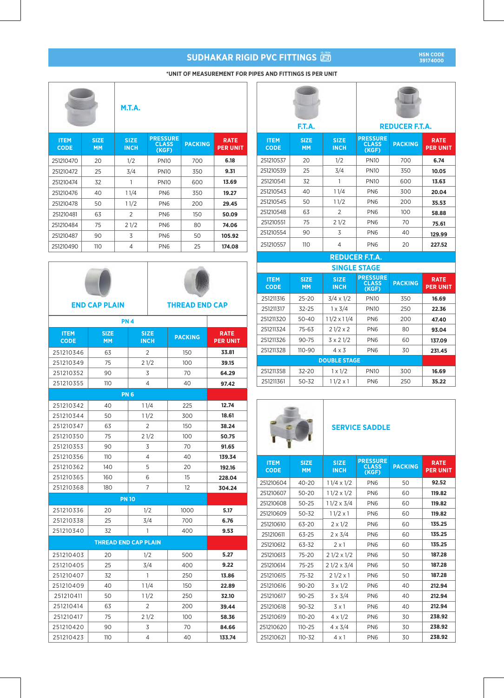### **\*UNIT OF MEASUREMENT FOR PIPES AND FITTINGS IS PER UNIT**

|                            |                          | M.T.A.                     |                                          |                |                                |
|----------------------------|--------------------------|----------------------------|------------------------------------------|----------------|--------------------------------|
| <b>ITEM</b><br><b>CODE</b> | <b>SIZE</b><br><b>MM</b> | <b>SIZE</b><br><b>INCH</b> | <b>PRESSURE</b><br><b>CLASS</b><br>(KGF) | <b>PACKING</b> | <b>RATE</b><br><b>PER UNIT</b> |
| 251210470                  | 20                       | 1/2                        | <b>PN10</b>                              | 700            | 6.18                           |
| 251210472                  | 25                       | 3/4                        | <b>PN10</b>                              | 350            | 9.31                           |
| 251210474                  | 32                       | 1                          | <b>PN10</b>                              | 600            | 13.69                          |
| 251210476                  | 40                       | 11/4                       | PN <sub>6</sub>                          | 350            | 19.27                          |
| 251210478                  | 50                       | 11/2                       | PN <sub>6</sub>                          | 200            | 29.45                          |
| 251210481                  | 63                       | 2                          | PN <sub>6</sub>                          | 150            | 50.09                          |
| 251210484                  | 75                       | 21/2                       | PN <sub>6</sub>                          | 80             | 74.06                          |
| 251210487                  | 90                       | 3                          | PN <sub>6</sub>                          | 50             | 105.92                         |
| 251210490                  | 110                      | $\overline{4}$             | PN <sub>6</sub>                          | 25             | 174.08                         |

| ENIR CAR RI A<br> |
|-------------------|



**END CAP PLAIN THREAD END CAP**

| <b>ITEM</b><br><b>CODE</b> | <b>SIZE</b><br><b>MM</b> | <b>SIZE</b><br><b>INCH</b>  | <b>PACKING</b>    | <b>RATE</b><br><b>PER UNIT</b> |
|----------------------------|--------------------------|-----------------------------|-------------------|--------------------------------|
| 251210346                  | 63                       | $\overline{2}$              | 150               | 33.81                          |
| 251210349                  | 75                       | 21/2                        | 100               | 39.15                          |
| 251210352                  | 90                       | 3                           | 70                | 64.29                          |
| 251210355                  | 110                      | 4                           | 40                | 97.42                          |
|                            |                          | <b>PN6</b>                  |                   |                                |
| 251210342                  | 40                       | 11/4                        | 225               | 12.74                          |
| 251210344                  | 50                       | 11/2                        | 300               | 18.61                          |
| 251210347                  | 63                       | 2                           | 150               | 38.24                          |
| 251210350                  | 75                       | 21/2                        | 100               | 50.75                          |
| 251210353                  | 90                       | 3                           | 70                | 91.65                          |
| 251210356                  | 110                      | 4                           | 40                | 139.34                         |
| 251210362                  | 140                      | 5                           | 20                | 192.16                         |
| 251210365                  | 160                      | 6                           | 15                | 228.04                         |
| 251210368                  | 180                      | 7                           | $12 \overline{ }$ | 304.24                         |
|                            |                          | <b>PN 10</b>                |                   |                                |
| 251210336                  | 20                       | 1/2                         | 1000              | 5.17                           |
| 251210338                  | 25                       | 3/4                         | 700               | 6.76                           |
| 251210340                  | 32                       | 1                           | 400               | 9.53                           |
|                            |                          | <b>THREAD END CAP PLAIN</b> |                   |                                |
| 251210403                  | 20                       | 1/2                         | 500               | 5.27                           |
| 251210405                  | 25                       | 3/4                         | 400               | 9.22                           |
| 251210407                  | 32                       | 1                           | 250               | 13.86                          |
| 251210409                  | 40                       | 11/4                        | 150               | 22.89                          |
| 251210411                  | 50                       | 11/2                        | 250               | 32.10                          |
| 251210414                  | 63                       | $\overline{2}$              | 200               | 39.44                          |
| 251210417                  | 75                       | 21/2                        | 100               | 58.36                          |
| 251210420                  | 90                       | 3                           | 70                | 84.66                          |
| 251210423                  | 110                      | 4                           | 40                | 133.74                         |

|                            | F.T.A.                   |                            |                                          | <b>REDUCER F.T.A.</b> |                                |
|----------------------------|--------------------------|----------------------------|------------------------------------------|-----------------------|--------------------------------|
| <b>ITEM</b><br><b>CODE</b> | <b>SIZE</b><br><b>MM</b> | <b>SIZE</b><br><b>INCH</b> | <b>PRESSURE</b><br><b>CLASS</b><br>(KGF) | <b>PACKING</b>        | <b>RATE</b><br><b>PER UNIT</b> |
| 251210537                  | 20                       | 1/2                        | <b>PN10</b>                              | 700                   | 6.74                           |
| 251210539                  | 25                       | 3/4                        | <b>PN10</b>                              | 350                   | 10.05                          |
| 251210541                  | 32                       | 1                          | <b>PN10</b>                              | 600                   | 13.63                          |
| 251210543                  | 40                       | 11/4                       | PN <sub>6</sub>                          | 300                   | 20.04                          |
| 251210545                  | 50                       | 11/2                       | PN <sub>6</sub>                          | 200                   | 35.53                          |
| 251210548                  | 63                       | $\overline{2}$             | PN <sub>6</sub>                          | 100                   | 58.88                          |
| 251210551                  | 75                       | 21/2                       | PN <sub>6</sub>                          | 70                    | 75.61                          |
| 251210554                  | 90                       | 3                          | PN <sub>6</sub>                          | 40                    | 129.99                         |
| 251210557                  | 110                      | 4                          | PN <sub>6</sub>                          | 20                    | 227.52                         |
|                            |                          |                            | <b>REDUCER F.T.A.</b>                    |                       |                                |
|                            |                          |                            | <b>SINGLE STAGE</b>                      |                       |                                |
| <b>ITEM</b><br><b>CODE</b> | <b>SIZE</b><br><b>MM</b> | <b>SIZE</b><br><b>INCH</b> | <b>PRESSURE</b><br><b>CLASS</b><br>(KGF) | <b>PACKING</b>        | <b>RATE</b><br><b>PER UNIT</b> |
| 251211316                  | $25 - 20$                | $3/4 \times 1/2$           | <b>PN10</b>                              | 350                   | 16.69                          |
| 251211317                  | $32 - 25$                | $1 \times 3/4$             | <b>PN10</b>                              | 250                   | 22.36                          |
| 251211320                  | $50 - 40$                | $11/2 \times 11/4$         | PN <sub>6</sub>                          | 200                   | 47.40                          |
| 251211324                  | 75-63                    | $21/2 \times 2$            | PN <sub>6</sub>                          | 80                    | 93.04                          |
| 251211326                  | $90 - 75$                | $3 \times 21/2$            | PN <sub>6</sub>                          | 60                    | 137.09                         |
| 251211328                  | 110-90                   | $4 \times 3$               | PN <sub>6</sub>                          | 30                    | 231.45                         |
|                            |                          | <b>DOUBLE STAGE</b>        |                                          |                       |                                |
| 251211358                  | 32-20                    | $1 \times 1/2$             | <b>PN10</b>                              | 300                   | 16.69                          |
| 251211361                  | $50 - 32$                | $11/2 \times 1$            | PN <sub>6</sub>                          | 250                   | 35.22                          |

# **SERVICE SADDLE**

| <b>ITEM</b><br><b>CODE</b> | <b>SIZE</b><br><b>MM</b> | <b>SIZE</b><br><b>INCH</b> | <b>PRESSURE</b><br><b>CLASS</b><br>(KGF) | <b>PACKING</b> | <b>RATE</b><br><b>PER UNIT</b> |
|----------------------------|--------------------------|----------------------------|------------------------------------------|----------------|--------------------------------|
| 251210604                  | $40 - 20$                | $11/4 \times 1/2$          | PN <sub>6</sub>                          | 50             | 92.52                          |
| 251210607                  | $50 - 20$                | $11/2 \times 1/2$          | PN <sub>6</sub>                          | 60             | 119.82                         |
| 251210608                  | $50 - 25$                | $11/2 \times 3/4$          | PN <sub>6</sub>                          | 60             | 119.82                         |
| 251210609                  | $50 - 32$                | $11/2 \times 1$            | PN <sub>6</sub>                          | 60             | 119.82                         |
| 251210610                  | 63-20                    | $2 \times 1/2$             | PN <sub>6</sub>                          | 60             | 135.25                         |
| 251210611                  | $63 - 25$                | $2 \times 3/4$             | PN <sub>6</sub>                          | 60             | 135.25                         |
| 251210612                  | 63-32                    | $2 \times 1$               | PN <sub>6</sub>                          | 60             | 135.25                         |
| 251210613                  | $75 - 20$                | $21/2 \times 1/2$          | PN <sub>6</sub>                          | 50             | 187.28                         |
| 251210614                  | $75 - 25$                | $21/2 \times 3/4$          | PN <sub>6</sub>                          | 50             | 187.28                         |
| 251210615                  | $75 - 32$                | $21/2 \times 1$            | PN <sub>6</sub>                          | 50             | 187.28                         |
| 251210616                  | $90 - 20$                | $3 \times 1/2$             | PN <sub>6</sub>                          | 40             | 212.94                         |
| 251210617                  | $90 - 25$                | $3 \times 3/4$             | PN <sub>6</sub>                          | 40             | 212.94                         |
| 251210618                  | $90 - 32$                | $3 \times 1$               | PN <sub>6</sub>                          | 40             | 212.94                         |
| 251210619                  | $110 - 20$               | $4 \times 1/2$             | PN <sub>6</sub>                          | 30             | 238.92                         |
| 251210620                  | $110 - 25$               | $4 \times 3/4$             | PN <sub>6</sub>                          | 30             | 238.92                         |
| 251210621                  | $110 - 32$               | 4 x 1                      | PN <sub>6</sub>                          | 30             | 238.92                         |

**HSN CODE 39174000**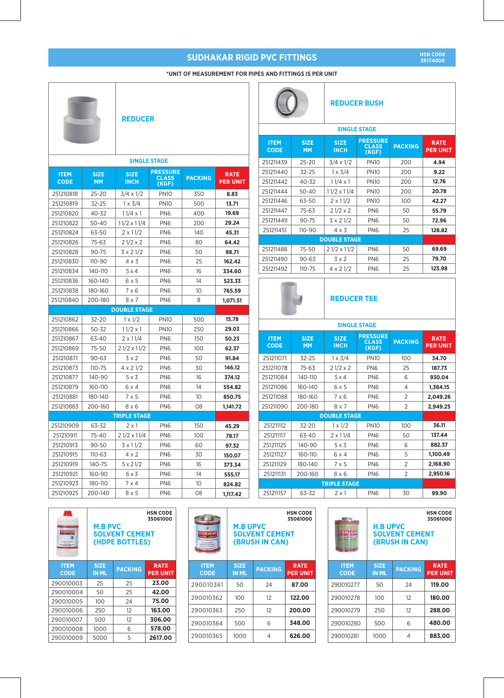# **\*UNIT OF MEASUREMENT FOR PIPES AND FITTINGS IS PER UNIT**  $\overline{1}$

 $\sqrt{2}$ 

 $\sim$ 

|             |             |                          | <b>REDUCER</b>        |                |                 |                            |                          |                            | <b>REDUCER BUSH</b>                      |                |
|-------------|-------------|--------------------------|-----------------------|----------------|-----------------|----------------------------|--------------------------|----------------------------|------------------------------------------|----------------|
|             |             |                          |                       |                |                 |                            |                          |                            | <b>SINGLE STAGE</b>                      |                |
|             |             |                          |                       |                |                 | <b>ITEM</b><br><b>CODE</b> | <b>SIZE</b><br><b>MM</b> | <b>SIZE</b><br><b>INCH</b> | <b>PRESSURE</b><br><b>CLASS</b><br>(KGF) | <b>PACKI</b>   |
|             |             |                          | <b>SINGLE STAGE</b>   |                |                 | 251211439                  | $25 - 20$                | $3/4 \times 1/2$           | <b>PN10</b>                              | 200            |
| <b>ITEM</b> | <b>SIZE</b> | <b>SIZE</b>              | <b>PRESSURE</b>       |                | <b>RATE</b>     | 251211440                  | $32 - 25$                | $1 \times 3/4$             | <b>PN10</b>                              | 200            |
| <b>CODE</b> | <b>MM</b>   | <b>INCH</b>              | <b>CLASS</b><br>(KGF) | <b>PACKING</b> | <b>PER UNIT</b> | 251211442                  | 40-32                    | $11/4 \times 1$            | <b>PN10</b>                              | 200            |
| 251210818   | 25-20       | $3/4 \times 1/2$         | <b>PN10</b>           | 350            | 8.83            | 251211444                  | 50-40                    | $11/2 \times 11/4$         | <b>PN10</b>                              | 200            |
| 251210819   | 32-25       | $1 \times 3/4$           | <b>PN10</b>           | 500            | 13.71           | 251211446                  | 63-50                    | $2 \times 11/2$            | <b>PN10</b>                              | 100            |
| 251210820   | 40-32       | $11/4 \times 1$          | PN <sub>6</sub>       | 400            | 19.69           | 251211447                  | 75-63                    | $21/2 \times 2$            | PN <sub>6</sub>                          | 50             |
| 251210822   | $50 - 40$   | $11/2 \times 11/4$       | PN <sub>6</sub>       | 200            | 29.24           | 251211449                  | $90 - 75$                | $3 \times 21/2$            | PN <sub>6</sub>                          | 50             |
| 251210824   | 63-50       | $2 \times 11/2$          | PN <sub>6</sub>       | 140            | 45.31           | 251211451                  | 110-90                   | $4 \times 3$               | PN <sub>6</sub>                          | 25             |
| 251210826   | 75-63       | $21/2 \times 2$          | PN <sub>6</sub>       | 80             | 64.42           |                            |                          | <b>DOUBLE STAGE</b>        |                                          |                |
| 251210828   | $90 - 75$   | $3 \times 21/2$          | PN <sub>6</sub>       | 50             | 98.71           | 251211488                  | $75 - 50$                | $21/2 \times 11/2$         | PN <sub>6</sub>                          | 50             |
| 251210830   | $110 - 90$  | 4 x 3                    | PN <sub>6</sub>       | 25             | 162.42          | 251211490                  | $90 - 63$                | $3 \times 2$               | PN <sub>6</sub>                          | 25             |
| 251210834   | 140-110     | 5x4                      | PN <sub>6</sub>       | 16             | 334.60          | 251211492                  | $110 - 75$               | $4 \times 21/2$            | PN <sub>6</sub>                          | 25             |
| 251210836   | 160-140     | 6 x 5                    | PN <sub>6</sub>       | 14             | 523.33          |                            |                          |                            |                                          |                |
| 251210838   | 180-160     | 7 × 6                    | PN <sub>6</sub>       | 10             | 765.59          |                            |                          |                            |                                          |                |
| 251210840   | 200-180     | 8 x 7                    | PN <sub>6</sub>       | 8              | 1,071.51        |                            |                          | <b>REDUCER TEE</b>         |                                          |                |
|             |             | <b>DOUBLE STAGE</b>      |                       |                |                 |                            |                          |                            |                                          |                |
| 251210862   | 32-20       | $1 \times 1/2$           | <b>PN10</b>           | 500            | 15.78           |                            |                          |                            |                                          |                |
| 251210866   | $50 - 32$   | $11/2 \times 1$          | <b>PN10</b>           | 250            | 29.03           |                            |                          |                            | <b>SINGLE STAGE</b>                      |                |
| 251210867   | 63-40       | $2 \times 11/4$          | PN <sub>6</sub>       | 150            | 50.23           | <b>ITEM</b>                | <b>SIZE</b>              | <b>SIZE</b>                | <b>PRESSURE</b><br><b>CLASS</b>          | <b>PACKI</b>   |
| 251210869   | 75-50       | $21/2 \times 11/2$       | PN <sub>6</sub>       | 100            | 62.37           | <b>CODE</b>                | <b>MM</b>                | <b>INCH</b>                | (KGF)                                    |                |
| 251210871   | $90 - 63$   | 3x2                      | PN <sub>6</sub>       | 50             | 91.84           | 251211071                  | 32-25                    | $1 \times 3/4$             | <b>PN10</b>                              | 100            |
| 251210873   | $110 - 75$  | $4 \times 21/2$          | PN <sub>6</sub>       | 30             | 146.12          | 251211078                  | 75-63                    | $21/2 \times 2$            | PN <sub>6</sub>                          | 25             |
| 251210877   | 140-90      | 5x3                      | PN <sub>6</sub>       | 16             | 374.12          | 251211084                  | 140-110                  | 5x4                        | PN <sub>6</sub>                          | 6              |
| 251210879   | 160-110     | 6 x 4                    | PN <sub>6</sub>       | 14             | 554.82          | 251211086                  | 160-140                  | 6 x 5                      | PN <sub>6</sub>                          | 4              |
| 251210881   | 180-140     | 7 x 5                    | PN <sub>6</sub>       | 10             | 850.75          | 251211088                  | 180-160                  | 7 x 6                      | PN <sub>6</sub>                          | 2              |
| 251210883   | 200-160     | 8 x 6                    | PN <sub>6</sub>       | 08             | 1,141.72        | 251211090                  | 200-180                  | 8 x 7                      | PN <sub>6</sub>                          | 2              |
|             |             | <b>TRIPLE STAGE</b>      |                       |                |                 |                            |                          | <b>DOUBLE STAGE</b>        |                                          |                |
| 251210909   | 63-32       | $2 \times 1$             | PN <sub>6</sub>       | 150            | 45.29           | 251211112                  | $32 - 20$                | $1 \times 1/2$             | <b>PN10</b>                              | 100            |
| 251210911   | 75-40       | $21/2 \times 11/4$       | PN <sub>6</sub>       | 100            | 78.17           | 251211117                  | 63-40                    | $2 \times 11/4$            | PN <sub>6</sub>                          | 50             |
| 251210913   | $90 - 50$   | $3 \times 11/2$          | PN <sub>6</sub>       | 60             | 97.32           | 251211125                  | 140-90                   | $5 \times 3$               | PN <sub>6</sub>                          | 6              |
| 251210915   | $110 - 63$  | $4 \times 2$             | PN <sub>6</sub>       | 30             | 150.07          | 251211127                  | 160-110                  | 6 x 4                      | PN <sub>6</sub>                          | 5              |
| 251210919   | 140-75      | $5 \times 2 \frac{1}{2}$ | PN <sub>6</sub>       | 16             | 373.34          | 251211129                  | 180-140                  | $7\times 5$                | PN <sub>6</sub>                          | 2              |
| 251210921   | 160-90      | 6x3                      | PN <sub>6</sub>       | 14             | 555.17          | 251211131                  | 200-160                  | $8 \times 6$               | PN <sub>6</sub>                          | $\overline{2}$ |
| 251210923   | 180-110     | $7 \times 4$             | PN <sub>6</sub>       | 10             | 824.82          |                            |                          | <b>TRIPLE STAGE</b>        |                                          |                |
| 251210925   | 200-140     | $8 \times 5$             | PN <sub>6</sub>       | 08             | 1,117.42        | 251211157                  | 63-32                    | $2 \times 1$               | PN <sub>6</sub>                          | 30             |

| <b>HSN CODE</b> |  |
|-----------------|--|
| 39174000        |  |
|                 |  |

**PER UNIT**

**4.94 9.22 12.76 20.78 42.27 55.79 72.96 128.82**

**69.69 79.70 123.98**

**PACKING** 

| 160    | 8 x 6                      | PN <sub>6</sub>             | $\overline{2}$                          | 2,950.16                       |
|--------|----------------------------|-----------------------------|-----------------------------------------|--------------------------------|
|        | <b>TRIPLE STAGE</b>        |                             |                                         |                                |
| 32     | $2 \times 1$               | PN <sub>6</sub>             | 30                                      | 99.90                          |
|        |                            |                             |                                         |                                |
| E<br>b |                            | <b>H.B UPVC</b>             | <b>SOLVENT CEMENT</b><br>(BRUSH IN CAN) | <b>HSN CODE</b><br>35061000    |
| т      | <b>ITEM</b><br><b>CODE</b> | <b>SIZE</b><br><b>IN ML</b> | <b>PACKING</b>                          | <b>RATE</b><br><b>PER UNIT</b> |
|        | 290010277                  | 50                          | 24                                      | 119.00                         |
|        | 290010278                  | 100                         | $12 \overline{ }$                       | 180.00                         |
|        | 290010279                  | 250                         | 12                                      | 288.00                         |

290010280 500 6 290010281 1000 4

**480.00 883.00**

|                            | <b>HSN CODE</b><br>35061000<br><b>M.B PVC</b><br><b>SOLVENT CEMENT</b><br>(HDPE BOTTLES) |                |                                |  |  |
|----------------------------|------------------------------------------------------------------------------------------|----------------|--------------------------------|--|--|
| <b>ITEM</b><br><b>CODE</b> | <b>SIZE</b><br><b>IN ML</b>                                                              | <b>PACKING</b> | <b>RATE</b><br><b>PER UNIT</b> |  |  |
| 290010003                  | 25                                                                                       | 25             | 23.00                          |  |  |
| 290010004                  | 50                                                                                       | 25             | 42.00                          |  |  |
| 290010005                  | 100                                                                                      | 24             | 75.00                          |  |  |
| 290010006                  | 250                                                                                      | 12             | 163.00                         |  |  |
| 290010007                  | 500                                                                                      | $12^{12}$      | 306.00                         |  |  |
| 290010008                  | 1000                                                                                     | 6              | 578.00                         |  |  |
| 290010009                  | 5000                                                                                     | 5              | 2617.00                        |  |  |

|                            | <b>M.B UPVC</b><br><b>SOLVENT CEMENT</b><br>(BRUSH IN CAN) | <b>HSN CODE</b><br>35061000 |                                |
|----------------------------|------------------------------------------------------------|-----------------------------|--------------------------------|
| <b>ITEM</b><br><b>CODE</b> | <b>SIZE</b><br><b>IN ML</b>                                | <b>PACKING</b>              | <b>RATE</b><br><b>PER UNIT</b> |
| 290010361                  | 50                                                         | 24                          | 87.00                          |
| 290010362                  | 100                                                        | 12                          | 122.00                         |
| 290010363                  | 250                                                        | $12^{12}$                   | 200.00                         |
| 290010364                  | 500                                                        | 6                           | 348.00                         |
| 290010365                  | 1000                                                       | 4                           | 626.00                         |

| 50 | $21/2 \times 11/2$ | Pl |  |  |  |  |
|----|--------------------|----|--|--|--|--|
| 63 | 3 x 2              | Pl |  |  |  |  |
| ᄀᄃ | 1.021/2            |    |  |  |  |  |

| <b>SINGLE STAGE</b>        |                          |                            |                                          |                |                                |  |  |  |
|----------------------------|--------------------------|----------------------------|------------------------------------------|----------------|--------------------------------|--|--|--|
| <b>ITEM</b><br><b>CODE</b> | <b>SIZE</b><br><b>MM</b> | <b>SIZE</b><br><b>INCH</b> | <b>PRESSURE</b><br><b>CLASS</b><br>(KGF) | <b>PACKING</b> | <b>RATE</b><br><b>PER UNIT</b> |  |  |  |
| 251211071                  | $32 - 25$                | $1 \times 3/4$             | <b>PN10</b>                              | 100            | 34.70                          |  |  |  |
| 251211078                  | 75-63                    | $21/2 \times 2$            | PN <sub>6</sub>                          | 25             | 187.73                         |  |  |  |
| 251211084                  | 140-110                  | 5x4                        | PN <sub>6</sub>                          | 6              | 930.04                         |  |  |  |
| 251211086                  | 160-140                  | 6 x 5                      | PN <sub>6</sub>                          | 4              | 1,364.15                       |  |  |  |
| 251211088                  | 180-160                  | 7 x 6                      | PN <sub>6</sub>                          | $\overline{2}$ | 2,049.26                       |  |  |  |
| 251211090                  | 200-180                  | 8 x 7                      | PN <sub>6</sub>                          | $\overline{2}$ | 2,949.25                       |  |  |  |
|                            |                          | <b>DOUBLE STAGE</b>        |                                          |                |                                |  |  |  |
| 251211112                  | $32 - 20$                | $1 \times 1/2$             | <b>PN10</b>                              | 100            | 36.11                          |  |  |  |
| 251211117                  | 63-40                    | $2 \times 11/4$            | PN <sub>6</sub>                          | 50             | 137.44                         |  |  |  |
| 251211125                  | 140-90                   | 5x3                        | PN <sub>6</sub>                          | 6              | 882.37                         |  |  |  |
| 251211127                  | 160-110                  | 6 x 4                      | PN <sub>6</sub>                          | 5              | 1,100.49                       |  |  |  |
| 251211129                  | 180-140                  | $7\times 5$                | PN <sub>6</sub>                          | $\overline{2}$ | 2,168.90                       |  |  |  |
| 251211131                  | 200-160                  | 8 x 6                      | PN <sub>6</sub>                          | $\overline{2}$ | 2,950.16                       |  |  |  |
|                            |                          |                            |                                          |                |                                |  |  |  |
| 251211157                  | 63-32                    | $2 \times 1$               | PN <sub>6</sub>                          | 30             | 99.90                          |  |  |  |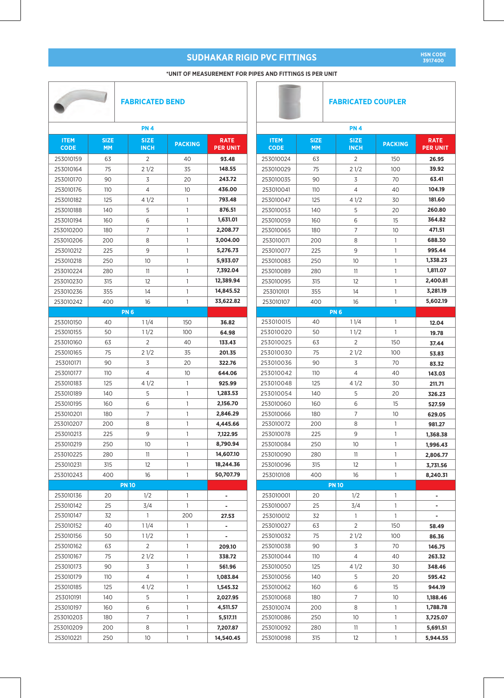#### **\*UNIT OF MEASUREMENT FOR PIPES AND FITTINGS IS PER UNIT**

| <b>FABRICATED BEND</b>     |                          |  |                            | <b>FABRICATED COUPLER</b> |                                |                            |                          |                            |                 |                                |
|----------------------------|--------------------------|--|----------------------------|---------------------------|--------------------------------|----------------------------|--------------------------|----------------------------|-----------------|--------------------------------|
|                            |                          |  | <b>PN4</b>                 |                           |                                |                            |                          | <b>PN4</b>                 |                 |                                |
| <b>ITEM</b><br><b>CODE</b> | <b>SIZE</b><br><b>MM</b> |  | <b>SIZE</b><br><b>INCH</b> | <b>PACKING</b>            | <b>RATE</b><br><b>PER UNIT</b> | <b>ITEM</b><br><b>CODE</b> | <b>SIZE</b><br><b>MM</b> | <b>SIZE</b><br><b>INCH</b> | <b>PACKING</b>  | <b>RATE</b><br><b>PER UNIT</b> |
| 253010159                  | 63                       |  | 2                          | 40                        | 93.48                          | 253010024                  | 63                       | 2                          | 150             | 26.95                          |
| 253010164                  | 75                       |  | 21/2                       | 35                        | 148.55                         | 253010029                  | 75                       | 21/2                       | 100             | 39.92                          |
| 253010170                  | 90                       |  | 3                          | 20                        | 243.72                         | 253010035                  | 90                       | 3                          | 70              | 63.41                          |
| 253010176                  | 110                      |  | 4                          | 10                        | 436.00                         | 253010041                  | 110                      | $\overline{4}$             | 40              | 104.19                         |
| 253010182                  | 125                      |  | 41/2                       | 1                         | 793.48                         | 253010047                  | 125                      | 41/2                       | 30              | 181.60                         |
| 253010188                  | 140                      |  | 5                          | $\mathbf{1}$              | 876.51                         | 253010053                  | 140                      | 5                          | 20              | 260.80                         |
| 253010194                  | 160                      |  | 6                          | $\mathbf{1}$              | 1,631.01                       | 253010059                  | 160                      | 6                          | 15              | 364.82                         |
| 253010200                  | 180                      |  | $\overline{7}$             | 1                         | 2,208.77                       | 253010065                  | 180                      | $\overline{7}$             | 10              | 471.51                         |
| 253010206                  | 200                      |  | 8                          | $\mathbf{1}$              | 3,004.00                       | 253010071                  | 200                      | 8                          | 1               | 688.30                         |
| 253010212                  | 225                      |  | 9                          | $\mathbf{1}$              | 5.276.73                       | 253010077                  | 225                      | 9                          | 1               | 995.44                         |
| 253010218                  | 250                      |  | 10                         | 1                         | 5,933.07                       | 253010083                  | 250                      | 10                         | 1               | 1,338.23                       |
| 253010224                  | 280                      |  | 11                         | $\mathbf{1}$              | 7.392.04                       | 253010089                  | 280                      | 11                         | 1               | 1,811.07                       |
| 253010230                  | 315                      |  | 12                         | 1                         | 12,389.94                      | 253010095                  | 315                      | 12                         | 1               | 2,400.81                       |
| 253010236                  | 355                      |  | 14                         | 1                         | 14,845.52                      | 253010101                  | 355                      | 14                         | 1               | 3,281.19                       |
| 253010242                  | 400                      |  | 16                         | $\mathbf{1}$              | 33,622.82                      | 253010107                  | 400                      | 16                         | 1               | 5,602.19                       |
|                            |                          |  | <b>PN6</b>                 |                           |                                |                            |                          | <b>PN6</b>                 |                 |                                |
| 253010150                  | 40                       |  | 11/4                       | 150                       | 36.82                          | 253010015                  | 40                       | 11/4                       | 1               | 12.04                          |
| 253010155                  | 50                       |  | 11/2                       | 100                       | 64.98                          | 253010020                  | 50                       | 11/2                       | $\mathbf{1}$    | 19.78                          |
| 253010160                  | 63                       |  | 2                          | 40                        | 133.43                         | 253010025                  | 63                       | 2                          | 150             | 37.44                          |
| 253010165                  | 75                       |  | 21/2                       | 35                        | 201.35                         | 253010030                  | 75                       | 21/2                       | 100             | 53.83                          |
| 253010171                  | 90                       |  | 3                          | 20                        | 322.76                         | 253010036                  | 90                       | 3                          | 70              | 83.32                          |
| 253010177                  | 110                      |  | 4                          | 10                        | 644.06                         | 253010042                  | 110                      | 4                          | 40              | 143.03                         |
| 253010183                  | 125                      |  | 41/2                       | 1                         | 925.99                         | 253010048                  | 125                      | 41/2                       | 30              | 211.71                         |
| 253010189                  | 140                      |  | 5                          | 1                         | 1,283.53                       | 253010054                  | 140                      | 5                          | 20              | 326.23                         |
| 253010195                  | 160                      |  | 6                          | 1                         | 2,156.70                       | 253010060                  | 160                      | 6                          | 15              | 527.59                         |
| 253010201                  | 180                      |  | 7                          | 1                         | 2,846.29                       | 253010066                  | 180                      | 7                          | 10              | 629.05                         |
| 253010207                  | 200                      |  | 8                          | $\mathbf{1}$              | 4,445.66                       | 253010072                  | 200                      | 8                          | $\mathbf{1}$    | 981.27                         |
| 253010213                  | 225                      |  | 9                          | 1                         | 7,122.95                       | 253010078                  | 225                      | 9                          | 1               | 1,368.38                       |
| 253010219                  | 250                      |  | 10                         | 1                         | 8,790.94                       | 253010084                  | 250                      | 10                         | 1               | 1,996.43                       |
| 253010225                  | 280                      |  | 11                         | $\mathbf{1}$              | 14,607.10                      | 253010090                  | 280                      | 11                         | $\mathbf{1}$    | 2,806.77                       |
| 253010231                  | 315                      |  | 12                         | 1                         | 18,244.36                      | 253010096                  | 315                      | 12                         | $\mathbf{1}$    | 3,731.56                       |
| 253010243                  | 400                      |  | 16                         | 1                         | 50,707.79                      | 253010108                  | 400                      | 16                         | 1               | 8,240.31                       |
|                            |                          |  | <b>PN 10</b>               |                           |                                |                            |                          | <b>PN 10</b>               |                 |                                |
| 253010136                  | 20                       |  | 1/2                        | $\mathbf{1}$              | $\blacksquare$                 | 253010001                  | 20                       | 1/2                        | $\mathbf{1}$    |                                |
| 253010142                  | 25                       |  | 3/4                        | $\mathbf{1}$              |                                | 253010007                  | 25                       | 3/4                        | $\mathbf{1}$    |                                |
| 253010147                  | 32                       |  | $\overline{1}$             | 200                       | 27.53                          | 253010012                  | 32                       | $\mathbf{1}$               | $\mathbf{1}$    |                                |
| 253010152                  | 40                       |  | 11/4                       | 1                         | ٠                              | 253010027                  | 63                       | 2                          | 150             | 58.49                          |
| 253010156                  | 50                       |  | 11/2                       | $\mathbf{1}$              | $\blacksquare$                 | 253010032                  | 75                       | 21/2                       | 100             | 86.36                          |
| 253010162                  | 63                       |  | 2                          | 1                         | 209.10                         | 253010038                  | 90                       | 3                          | 70              | 146.75                         |
| 253010167                  | 75                       |  | 21/2                       | 1                         | 338.72                         | 253010044                  | 110                      | 4                          | 40              | 263.32                         |
| 253010173                  | 90                       |  | 3                          | 1                         | 561.96                         | 253010050                  | 125                      | 41/2                       | 30              | 348.46                         |
| 253010179                  | 110                      |  | 4                          | 1                         | 1,083.84                       | 253010056                  | 140                      | 5                          | 20              | 595.42                         |
| 253010185                  | 125                      |  | 41/2                       | 1                         | 1,545.32                       | 253010062                  | 160                      | 6                          | 15              | 944.19                         |
| 253010191                  | 140                      |  | 5                          | 1                         | 2,027.95                       | 253010068                  | 180                      | 7                          | 10 <sup>°</sup> | 1,188.46                       |
| 253010197                  | 160                      |  | 6                          | 1                         | 4,511.57                       | 253010074                  | 200                      | 8                          | 1               | 1,788.78                       |
| 253010203                  | 180                      |  | 7                          | 1                         | 5,517.11                       | 253010086                  | 250                      | 10                         | $\mathbf{1}$    | 3,725.07                       |
| 253010209                  | 200                      |  | 8                          | $\mathbf{1}$              | 7,207.87                       | 253010092                  | 280                      | 11                         | 1               | 5,691.51                       |
| 253010221                  | 250                      |  | 10 <sup>°</sup>            | 1                         | 14,540.45                      | 253010098                  | 315                      | 12                         | 1               | 5,944.55                       |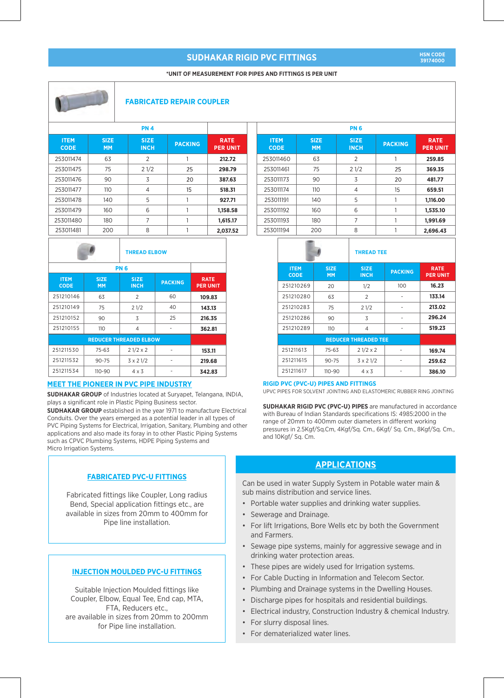#### **\*UNIT OF MEASUREMENT FOR PIPES AND FITTINGS IS PER UNIT**



#### **FABRICATED REPAIR COUPLER**

| <b>ITEM</b><br><b>CODE</b> | <b>SIZE</b><br><b>MM</b> | <b>SIZE</b><br><b>INCH</b> | <b>PACKING</b> | <b>RATE</b><br><b>PER UNIT</b> |
|----------------------------|--------------------------|----------------------------|----------------|--------------------------------|
| 253011474                  | 63                       | $\overline{2}$             | 1              | 212.72                         |
| 253011475                  | 75                       | 21/2                       | 25             | 298.79                         |
| 253011476                  | 90                       | 3                          | 20             | 387.63                         |
| 253011477                  | 110                      | 4                          | 15             | 518.31                         |
| 253011478                  | 140                      | 5                          |                | 927.71                         |
| 253011479                  | 160                      | 6                          |                | 1,158.58                       |
| 253011480                  | 180                      | 7                          |                | 1,615.17                       |
| 253011481                  | 200                      | 8                          |                | 2.037.52                       |

|                            |                          | <b>THREAD ELBOW</b>           |                |                                |  |  |  |  |
|----------------------------|--------------------------|-------------------------------|----------------|--------------------------------|--|--|--|--|
|                            | PN 6                     |                               |                |                                |  |  |  |  |
| <b>ITEM</b><br><b>CODE</b> | <b>SIZE</b><br><b>MM</b> | <b>SIZE</b><br><b>INCH</b>    | <b>PACKING</b> | <b>RATE</b><br><b>PER UNIT</b> |  |  |  |  |
| 251210146                  | 63                       | $\overline{2}$                | 60             | 109.83                         |  |  |  |  |
| 251210149                  | 75                       | 21/2                          | 40             | 143.13                         |  |  |  |  |
| 251210152                  | 90                       | 3                             | 25             | 216.35                         |  |  |  |  |
| 251210155                  | 110                      | $\overline{4}$                |                | 362.81                         |  |  |  |  |
|                            |                          | <b>REDUCER THREADED ELBOW</b> |                |                                |  |  |  |  |
| 251211530                  | 75-63                    | $21/2 \times 2$               |                | 153.11                         |  |  |  |  |
| 251211532                  | $90 - 75$                | $3 \times 21/2$               |                | 219.68                         |  |  |  |  |
| 251211534                  | 110-90                   | $4 \times 3$                  |                | 342.83                         |  |  |  |  |

#### **MEET THE PIONEER IN PVC PIPE INDUSTRY**

**SUDHAKAR GROUP** of Industries located at Suryapet, Telangana, INDIA, plays a significant role in Plastic Piping Business sector.

**SUDHAKAR GROUP** established in the year 1971 to manufacture Electrical Conduits. Over the years emerged as a potential leader in all types of PVC Piping Systems for Electrical, Irrigation, Sanitary, Plumbing and other applications and also made its foray in to other Plastic Piping Systems such as CPVC Plumbing Systems, HDPE Piping Systems and Micro Irrigation Systems.

#### **FABRICATED PVC-U FITTINGS**

Fabricated fittings like Coupler, Long radius Bend, Special application fittings etc., are available in sizes from 20mm to 400mm for Pipe line installation.

#### **INJECTION MOULDED PVC-U FITTINGS**

Suitable Injection Moulded fittings like Coupler, Elbow, Equal Tee, End cap, MTA, FTA, Reducers etc., are available in sizes from 20mm to 200mm for Pipe line installation.

| <b>PN6</b>                 |                          |                            |                |                                |  |  |  |  |
|----------------------------|--------------------------|----------------------------|----------------|--------------------------------|--|--|--|--|
| <b>ITEM</b><br><b>CODE</b> | <b>SIZE</b><br><b>MM</b> | <b>SIZE</b><br><b>INCH</b> | <b>PACKING</b> | <b>RATE</b><br><b>PER UNIT</b> |  |  |  |  |
| 253011460                  | 63                       | $\mathcal{P}$              | 1              | 259.85                         |  |  |  |  |
| 253011461                  | 75                       | 21/2                       | 25             | 369.35                         |  |  |  |  |
| 253011173                  | 90                       | 3                          | 20             | 481.77                         |  |  |  |  |
| 253011174                  | 110                      | 4                          | 15             | 659.51                         |  |  |  |  |
| 253011191                  | 140                      | 5                          |                | 1,116.00                       |  |  |  |  |
| 253011192                  | 160                      | 6                          |                | 1,535.10                       |  |  |  |  |
| 253011193                  | 180                      | 7                          |                | 1,991.69                       |  |  |  |  |
| 253011194                  | 200                      | 8                          |                | 2,696.43                       |  |  |  |  |
|                            |                          |                            |                |                                |  |  |  |  |

|                            |                          | <b>THREAD TEE</b>           |                |                                |  |  |
|----------------------------|--------------------------|-----------------------------|----------------|--------------------------------|--|--|
| <b>ITEM</b><br><b>CODE</b> | <b>SIZE</b><br><b>MM</b> | <b>SIZE</b><br><b>INCH</b>  | <b>PACKING</b> | <b>RATE</b><br><b>PER UNIT</b> |  |  |
| 251210269                  | 20                       | 1/2                         | 100            | 16.23                          |  |  |
| 251210280                  | 63                       | $\overline{2}$              |                | 133.14                         |  |  |
| 251210283                  | 75                       | 21/2                        |                | 213.02                         |  |  |
| 251210286                  | 90                       | 3                           |                | 296.24                         |  |  |
| 251210289                  | 110                      | $\overline{4}$              |                | 519.23                         |  |  |
|                            |                          | <b>REDUCER THREADED TEE</b> |                |                                |  |  |
| 251211613                  | 75-63                    | $21/2 \times 2$             |                | 169.74                         |  |  |
| 251211615                  | $90 - 75$                | $3 \times 21/2$             |                | 259.62                         |  |  |
| 251211617                  | 110-90                   | $4 \times 3$                |                | 386.10                         |  |  |

#### **RIGID PVC (PVC-U) PIPES AND FITTINGS**

UPVC PIPES FOR SOLVENT JOINTING AND ELASTOMERIC RUBBER RING JOINTING

**SUDHAKAR RIGID PVC (PVC-U) PIPES** are manufactured in accordance with Bureau of Indian Standards specifications IS: 4985:2000 in the range of 20mm to 400mm outer diameters in different working pressures in 2.5Kgf/Sq.Cm, 4Kgf/Sq. Cm., 6Kgf/ Sq. Cm., 8Kgf/Sq. Cm., and 10Kgf/ Sq. Cm.

#### **APPLICATIONS**

Can be used in water Supply System in Potable water main & sub mains distribution and service lines.

- Portable water supplies and drinking water supplies.
- Sewerage and Drainage.
- For lift Irrigations, Bore Wells etc by both the Government and Farmers.
- Sewage pipe systems, mainly for aggressive sewage and in drinking water protection areas.
- These pipes are widely used for Irrigation systems.
- For Cable Ducting in Information and Telecom Sector.
- Plumbing and Drainage systems in the Dwelling Houses.
- Discharge pipes for hospitals and residential buildings.
- Electrical industry, Construction Industry & chemical Industry.
- For slurry disposal lines.
- For dematerialized water lines.

**39174000**